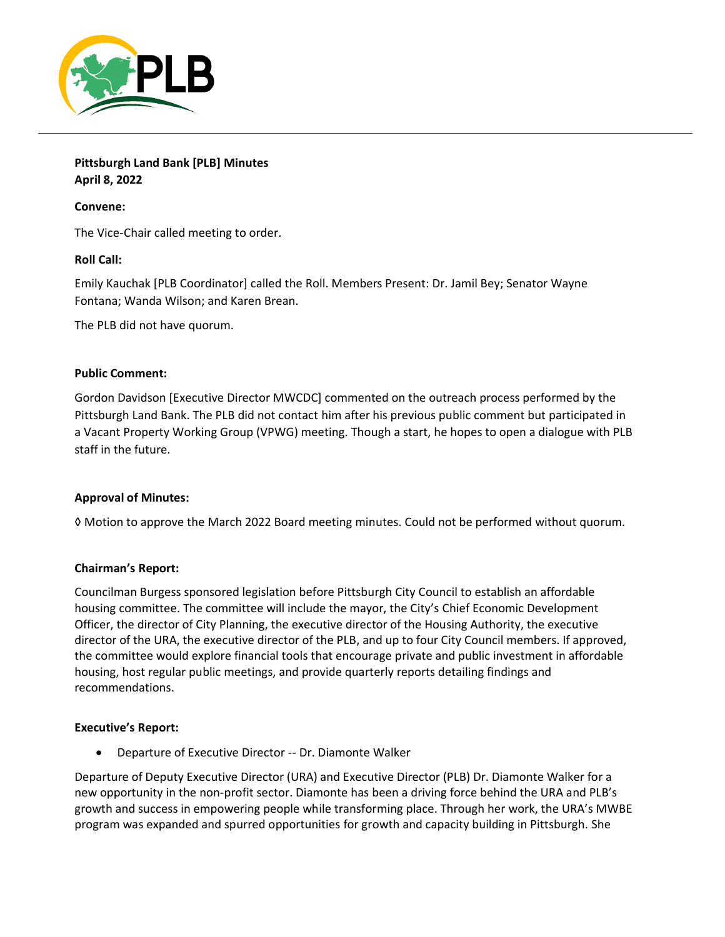

**Pittsburgh Land Bank [PLB] Minutes April 8, 2022**

# **Convene:**

The Vice-Chair called meeting to order.

### **Roll Call:**

Emily Kauchak [PLB Coordinator] called the Roll. Members Present: Dr. Jamil Bey; Senator Wayne Fontana; Wanda Wilson; and Karen Brean.

The PLB did not have quorum.

### **Public Comment:**

Gordon Davidson [Executive Director MWCDC] commented on the outreach process performed by the Pittsburgh Land Bank. The PLB did not contact him after his previous public comment but participated in a Vacant Property Working Group (VPWG) meeting. Though a start, he hopes to open a dialogue with PLB staff in the future.

### **Approval of Minutes:**

◊ Motion to approve the March 2022 Board meeting minutes. Could not be performed without quorum.

### **Chairman's Report:**

Councilman Burgess sponsored legislation before Pittsburgh City Council to establish an affordable housing committee. The committee will include the mayor, the City's Chief Economic Development Officer, the director of City Planning, the executive director of the Housing Authority, the executive director of the URA, the executive director of the PLB, and up to four City Council members. If approved, the committee would explore financial tools that encourage private and public investment in affordable housing, host regular public meetings, and provide quarterly reports detailing findings and recommendations.

### **Executive's Report:**

• Departure of Executive Director -- Dr. Diamonte Walker

Departure of Deputy Executive Director (URA) and Executive Director (PLB) Dr. Diamonte Walker for a new opportunity in the non-profit sector. Diamonte has been a driving force behind the URA and PLB's growth and success in empowering people while transforming place. Through her work, the URA's MWBE program was expanded and spurred opportunities for growth and capacity building in Pittsburgh. She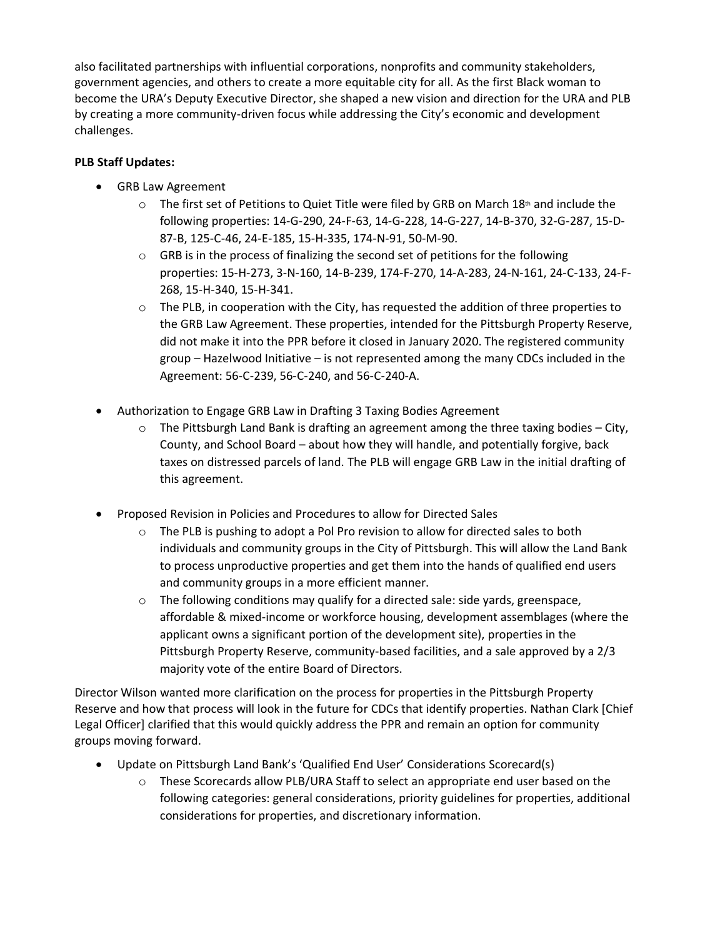also facilitated partnerships with influential corporations, nonprofits and community stakeholders, government agencies, and others to create a more equitable city for all. As the first Black woman to become the URA's Deputy Executive Director, she shaped a new vision and direction for the URA and PLB by creating a more community-driven focus while addressing the City's economic and development challenges.

# **PLB Staff Updates:**

- GRB Law Agreement
	- $\circ$  The first set of Petitions to Quiet Title were filed by GRB on March 18<sup>th</sup> and include the following properties: 14-G-290, 24-F-63, 14-G-228, 14-G-227, 14-B-370, 32-G-287, 15-D-87-B, 125-C-46, 24-E-185, 15-H-335, 174-N-91, 50-M-90.
	- $\circ$  GRB is in the process of finalizing the second set of petitions for the following properties: 15-H-273, 3-N-160, 14-B-239, 174-F-270, 14-A-283, 24-N-161, 24-C-133, 24-F-268, 15-H-340, 15-H-341.
	- $\circ$  The PLB, in cooperation with the City, has requested the addition of three properties to the GRB Law Agreement. These properties, intended for the Pittsburgh Property Reserve, did not make it into the PPR before it closed in January 2020. The registered community group – Hazelwood Initiative – is not represented among the many CDCs included in the Agreement: 56-C-239, 56-C-240, and 56-C-240-A.
- Authorization to Engage GRB Law in Drafting 3 Taxing Bodies Agreement
	- $\circ$  The Pittsburgh Land Bank is drafting an agreement among the three taxing bodies City, County, and School Board – about how they will handle, and potentially forgive, back taxes on distressed parcels of land. The PLB will engage GRB Law in the initial drafting of this agreement.
- Proposed Revision in Policies and Procedures to allow for Directed Sales
	- o The PLB is pushing to adopt a Pol Pro revision to allow for directed sales to both individuals and community groups in the City of Pittsburgh. This will allow the Land Bank to process unproductive properties and get them into the hands of qualified end users and community groups in a more efficient manner.
	- $\circ$  The following conditions may qualify for a directed sale: side yards, greenspace, affordable & mixed-income or workforce housing, development assemblages (where the applicant owns a significant portion of the development site), properties in the Pittsburgh Property Reserve, community-based facilities, and a sale approved by a 2/3 majority vote of the entire Board of Directors.

Director Wilson wanted more clarification on the process for properties in the Pittsburgh Property Reserve and how that process will look in the future for CDCs that identify properties. Nathan Clark [Chief Legal Officer] clarified that this would quickly address the PPR and remain an option for community groups moving forward.

- Update on Pittsburgh Land Bank's 'Qualified End User' Considerations Scorecard(s)
	- o These Scorecards allow PLB/URA Staff to select an appropriate end user based on the following categories: general considerations, priority guidelines for properties, additional considerations for properties, and discretionary information.